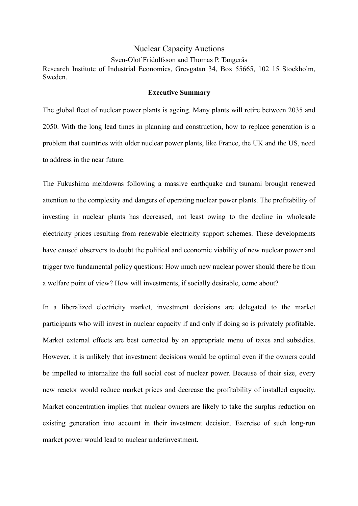## Nuclear Capacity Auctions

## Sven-Olof Fridolfsson and Thomas P. Tangerås

Research Institute of Industrial Economics, Grevgatan 34, Box 55665, 102 15 Stockholm, Sweden.

## **Executive Summary**

The global fleet of nuclear power plants is ageing. Many plants will retire between 2035 and 2050. With the long lead times in planning and construction, how to replace generation is a problem that countries with older nuclear power plants, like France, the UK and the US, need to address in the near future.

The Fukushima meltdowns following a massive earthquake and tsunami brought renewed attention to the complexity and dangers of operating nuclear power plants. The profitability of investing in nuclear plants has decreased, not least owing to the decline in wholesale electricity prices resulting from renewable electricity support schemes. These developments have caused observers to doubt the political and economic viability of new nuclear power and trigger two fundamental policy questions: How much new nuclear power should there be from a welfare point of view? How will investments, if socially desirable, come about?

In a liberalized electricity market, investment decisions are delegated to the market participants who will invest in nuclear capacity if and only if doing so is privately profitable. Market external effects are best corrected by an appropriate menu of taxes and subsidies. However, it is unlikely that investment decisions would be optimal even if the owners could be impelled to internalize the full social cost of nuclear power. Because of their size, every new reactor would reduce market prices and decrease the profitability of installed capacity. Market concentration implies that nuclear owners are likely to take the surplus reduction on existing generation into account in their investment decision. Exercise of such long-run market power would lead to nuclear underinvestment.